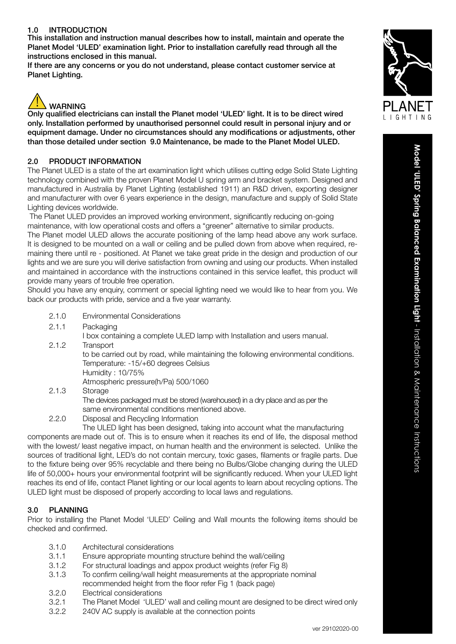### 1.0 INTRODUCTION

This installation and instruction manual describes how to install, maintain and operate the Planet Model 'ULED' examination light. Prior to installation carefully read through all the instructions enclosed in this manual.

If there are any concerns or you do not understand, please contact customer service at Planet Lighting.



Only qualified electricians can install the Planet model 'ULED' light. It is to be direct wired only. Installation performed by unauthorised personnel could result in personal injury and or equipment damage. Under no circumstances should any modifications or adjustments, other than those detailed under section 9.0 Maintenance, be made to the Planet Model ULED.

#### 2.0 PRODUCT INFORMATION

The Planet ULED is a state of the art examination light which utilises cutting edge Solid State Lighting technology combined with the proven Planet Model U spring arm and bracket system. Designed and manufactured in Australia by Planet Lighting (established 1911) an R&D driven, exporting designer and manufacturer with over 6 years experience in the design, manufacture and supply of Solid State Lighting devices worldwide.

 The Planet ULED provides an improved working environment, significantly reducing on-going maintenance, with low operational costs and offers a "greener" alternative to similar products. The Planet model ULED allows the accurate positioning of the lamp head above any work surface. It is designed to be mounted on a wall or ceiling and be pulled down from above when required, remaining there until re - positioned. At Planet we take great pride in the design and production of our lights and we are sure you will derive satisfaction from owning and using our products. When installed and maintained in accordance with the instructions contained in this service leaflet, this product will provide many years of trouble free operation.

Should you have any enquiry, comment or special lighting need we would like to hear from you. We back our products with pride, service and a five year warranty.

- 2.1.0 Environmental Considerations
- 2.1.1 Packaging

I box containing a complete ULED lamp with Installation and users manual.

- 2.1.2 Transport to be carried out by road, while maintaining the following environmental conditions. Temperature: -15/+60 degrees Celsius Humidity : 10/75% Atmospheric pressure(h/Pa) 500/1060 2.1.3 Storage
- 

The devices packaged must be stored (warehoused) in a dry place and as per the same environmental conditions mentioned above.

2.2.0 Disposal and Recycling Information

The ULED light has been designed, taking into account what the manufacturing

components are made out of. This is to ensure when it reaches its end of life, the disposal method with the lowest/ least negative impact, on human health and the environment is selected. Unlike the sources of traditional light, LED's do not contain mercury, toxic gases, filaments or fragile parts. Due to the fixture being over 95% recyclable and there being no Bulbs/Globe changing during the ULED life of 50,000+ hours your environmental footprint will be significantly reduced. When your ULED light reaches its end of life, contact Planet lighting or our local agents to learn about recycling options. The ULED light must be disposed of properly according to local laws and regulations.

#### 3.0 PLANNING

Prior to installing the Planet Model 'ULED' Ceiling and Wall mounts the following items should be checked and confirmed.

- 3.1.0 Architectural considerations
- 3.1.1 Ensure appropriate mounting structure behind the wall/ceiling
- 3.1.2 For structural loadings and appox product weights (refer Fig 8)
- 3.1.3 To confirm ceiling/wall height measurements at the appropriate nominal recommended height from the floor refer Fig 1 (back page)
- 3.2.0 Electrical considerations
- 3.2.1 The Planet Model 'ULED' wall and ceiling mount are designed to be direct wired only
- 3.2.2 240V AC supply is available at the connection points

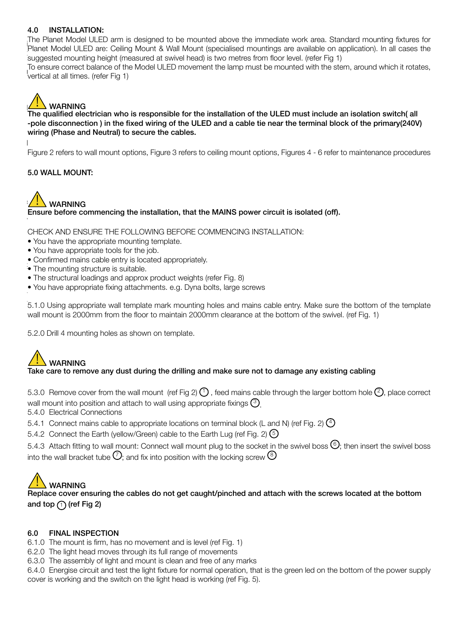#### 4.0 INSTALLATION:

The Planet Model ULED arm is designed to be mounted above the immediate work area. Standard mounting fixtures for<br>Planet Madel ULED are Osiling Maunt 8 Well Maurt (specialised requesting are available as application) In al Planet Model ULED are: Ceiling Mount & Wall Mount (specialised mountings are available on application). In all cases the<br>interacted accuration beight (secondary at awita) bood) is two motive from flam burd (when Fin 4). suggested mounting height (measured at swivel head) is two metres from floor level. (refer Fig 1)<br>The same assumed helance of the Madel LILED measures the large must be measured with the att To ensure correct balance of the Model ULED movement the lamp must be mounted with the stem, around which it rotates,<br>Lottical at all times, (information 1) vertical at all times. (refer Fig 1)

# **WARNING**

 $\frac{1}{2}$  The qualified electrician who is responsible for the installation of the ULED must include an isolation of the include and isolation of the ULED must include an isolation of the ULED must include an isolation of The qualified electrician who is responsible for the installation of the ULED must include an isolation switch(all -pole disconnection ) in the fixed wiring of the ULED and a cable tie near the terminal block of the primary(240V) wiring (Phase and Neutral) to secure the cables.

Figure 2 refers to wall mount options, Figure 3 refers to ceiling mount options, Figures 4 - 6 refer to maintenance procedures

#### 5.0 WALL MOUNT:



Ensure before commencing the installation, that the MAINS power circuit is isolated (off).

CHECK AND ENSURE THE FOLLOWING BEFORE COMMENCING INSTALLATION:

- You have the appropriate mounting template.
- You have appropriate tools for the job.
- Confirmed mains cable entry is located appropriately.
- $\mathbf{r} = \mathbf{r}$ • The mounting structure is suitable.
- $\bullet$  The st • The structural loadings and approx product weights (refer Fig. 8)
- $\frac{1}{\sqrt{2}}$  matrix mounting holes and mains cable entry. Make sure the bottom of  $\frac{1}{\sqrt{2}}$ • You have appropriate fixing attachments. e.g. Dyna bolts, large screws

5.1.0 Using appropriate wall template mark mounting holes and mains cable entry. Make sure the bottom of the template wall mount is 2000mm from the floor to maintain 2000mm clearance at the bottom of the swivel. (ref Fig. 1)

5.2.0 Drill 4 mounting holes as shown on template.

# WARNING<br>Take care to remove any dust during the drilling and make sure not to damage any existing cabling

5.3.0 Remove cover from the wall mount (ref Fig 2)  $(1)$ , feed mains cable through the larger bottom hole  $(2)$ , place correct wall mount into position and attach to wall using appropriate fixings  $(3)$ 

5.4.0 Electrical Connections

- 5.4.1 Connect mains cable to appropriate locations on terminal block (L and N) (ref Fig. 2)  $\spadesuit$
- 5.4.2 Connect the Earth (yellow/Green) cable to the Earth Lug (ref Fig. 2)  $\odot$
- 5.4.3 Attach fitting to wall mount: Connect wall mount plug to the socket in the swivel boss  $\circled{6}$ ; then insert the swivel boss into the wall bracket tube  $\overline{\mathcal{O}}$ : and fix into position with the locking screw  $\overline{\mathcal{O}}$

 $\angle$  :  $\triangle$  WARNING<br>Replace cover ensuring the cables do not get caught/pinched and attach with the screws located at the bottom and top  $(1)$  (ref Fig 2)

#### 6.0 FINAL INSPECTION

- 6.1.0 The mount is firm, has no movement and is level (ref Fig. 1)
- 6.2.0 The light head moves through its full range of movements
- 6.3.0 The assembly of light and mount is clean and free of any marks

6.4.0 Energise circuit and test the light fixture for normal operation, that is the green led on the bottom of the power supply cover is working and the switch on the light head is working (ref Fig. 5).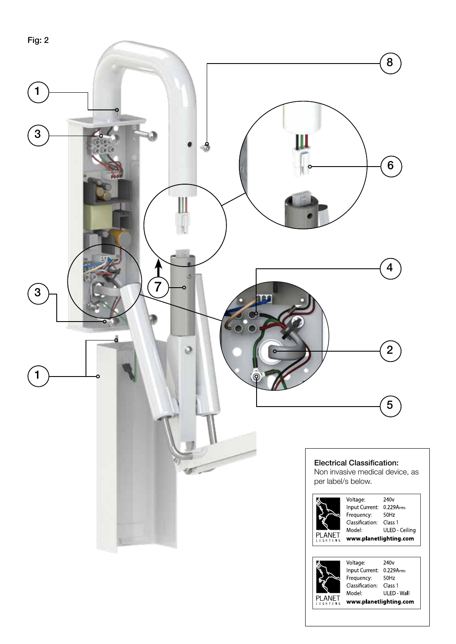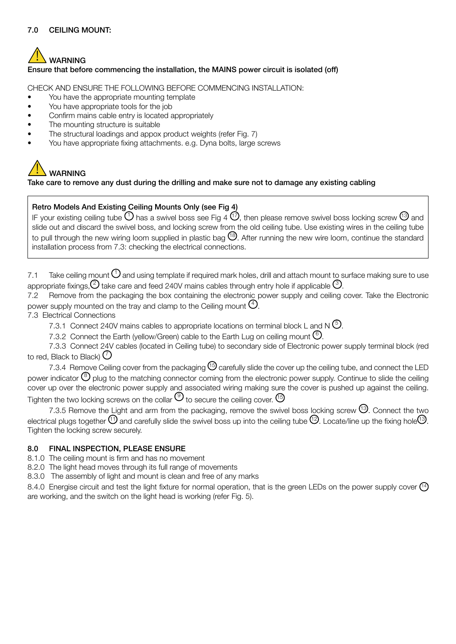#### 7.0 CEILING MOUNT:

## **WARNING** Ensure that before commencing the installation, the MAINS power circuit is isolated (off)

CHECK AND ENSURE THE FOLLOWING BEFORE COMMENCING INSTALLATION:

- You have the appropriate mounting template
- You have appropriate tools for the job
- Confirm mains cable entry is located appropriately
- The mounting structure is suitable
- The structural loadings and appox product weights (refer Fig. 7)
- You have appropriate fixing attachments. e.g. Dyna bolts, large screws

# **WARNING**

#### Take care to remove any dust during the drilling and make sure not to damage any existing cabling

#### Retro Models And Existing Ceiling Mounts Only (see Fig 4)

IF your existing ceiling tube  $\bigcup$  has a swivel boss see Fig 4  $\bigcup$ , then please remove swivel boss locking screw  $\bigcup$  and slide out and discard the swivel boss, and locking screw from the old ceiling tube. Use existing wires in the ceiling tube to pull through the new wiring loom supplied in plastic bag  $^{18}$ . After running the new wire loom, continue the standard installation process from 7.3: checking the electrical connections.

7.1 Take ceiling mount  $\Theta$  and using template if required mark holes, drill and attach mount to surface making sure to use appropriate fixings,  $(2)$  take care and feed 240V mains cables through entry hole if applicable  $(3)$ .

7.2 Remove from the packaging the box containing the electronic power supply and ceiling cover. Take the Electronic power supply mounted on the tray and clamp to the Ceiling mount  $(4)$ .

7.3 Electrical Connections

7.3.1 Connect 240V mains cables to appropriate locations on terminal block L and N  $\circled$ .

7.3.2 Connect the Earth (yellow/Green) cable to the Earth Lug on ceiling mount  $\mathbb{6}$ .

7.3.3 Connect 24V cables (located in Ceiling tube) to secondary side of Electronic power supply terminal block (red to red, Black to Black)  $\mathcal O$ 

7.3.4 Remove Ceiling cover from the packaging  $^{15}$  carefully slide the cover up the ceiling tube, and connect the LED power indicator  $\circled{e}$  plug to the matching connector coming from the electronic power supply. Continue to slide the ceiling cover up over the electronic power supply and associated wiring making sure the cover is pushed up against the ceiling. Tighten the two locking screws on the collar  $\mathcal{F}$  to secure the ceiling cover.  $\mathcal{F}$ 

7.3.5 Remove the Light and arm from the packaging, remove the swivel boss locking screw <sup>(13)</sup>. Connect the two electrical plugs together  $\Omega$  and carefully slide the swivel boss up into the ceiling tube  $\Omega$ . Locate/line up the fixing hole  $\Omega$ . Tighten the locking screw securely.

#### 8.0 FINAL INSPECTION, PLEASE ENSURE

8.1.0 The ceiling mount is firm and has no movement

8.2.0 The light head moves through its full range of movements

8.3.0 The assembly of light and mount is clean and free of any marks

8.4.0 Energise circuit and test the light fixture for normal operation, that is the green LEDs on the power supply cover  $(14)$ are working, and the switch on the light head is working (refer Fig. 5).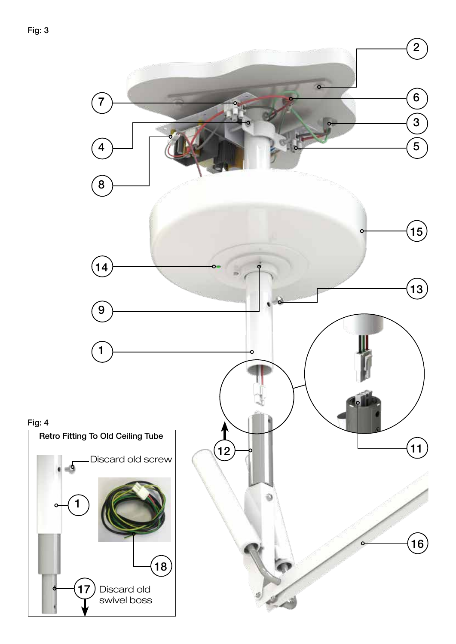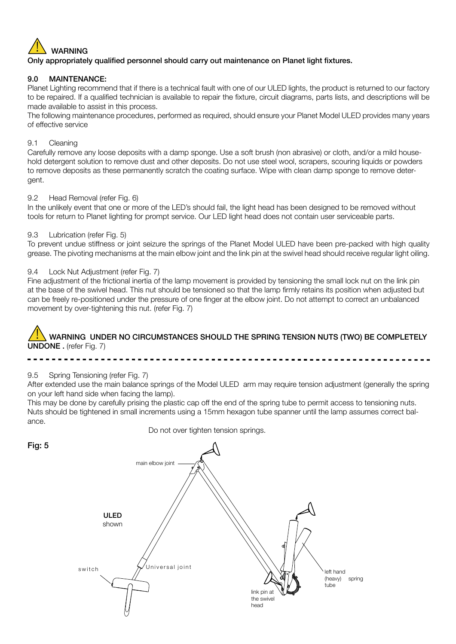

#### 9.0 MAINTENANCE:

Planet Lighting recommend that if there is a technical fault with one of our ULED lights, the product is returned to our factory to be repaired. If a qualified technician is available to repair the fixture, circuit diagrams, parts lists, and descriptions will be made available to assist in this process.

The following maintenance procedures, performed as required, should ensure your Planet Model ULED provides many years of effective service

#### 9.1 Cleaning

Carefully remove any loose deposits with a damp sponge. Use a soft brush (non abrasive) or cloth, and/or a mild household detergent solution to remove dust and other deposits. Do not use steel wool, scrapers, scouring liquids or powders to remove deposits as these permanently scratch the coating surface. Wipe with clean damp sponge to remove detergent.

#### 9.2 Head Removal (refer Fig. 6)

In the unlikely event that one or more of the LED's should fail, the light head has been designed to be removed without tools for return to Planet lighting for prompt service. Our LED light head does not contain user serviceable parts.

#### 9.3 Lubrication (refer Fig. 5)

To prevent undue stiffness or joint seizure the springs of the Planet Model ULED have been pre-packed with high quality grease. The pivoting mechanisms at the main elbow joint and the link pin at the swivel head should receive regular light oiling.

#### 9.4 Lock Nut Adjustment (refer Fig. 7)

Fine adjustment of the frictional inertia of the lamp movement is provided by tensioning the small lock nut on the link pin at the base of the swivel head. This nut should be tensioned so that the lamp firmly retains its position when adjusted but can be freely re-positioned under the pressure of one finger at the elbow joint. Do not attempt to correct an unbalanced movement by over-tightening this nut. (refer Fig. 7)

## WARNING UNDER NO CIRCUMSTANCES SHOULD THE SPRING TENSION NUTS (TWO) BE COMPLETELY UNDONE . (refer Fig. 7)

9.5 Spring Tensioning (refer Fig. 7)

After extended use the main balance springs of the Model ULED arm may require tension adjustment (generally the spring on your left hand side when facing the lamp).

> left hand (heavy) spring tube

This may be done by carefully prising the plastic cap off the end of the spring tube to permit access to tensioning nuts. Nuts should be tightened in small increments using a 15mm hexagon tube spanner until the lamp assumes correct balance.

ULED shown ,<br>Universal ioint link pin at the swivel head main elbow joint switch

Do not over tighten tension springs.

Fig: 5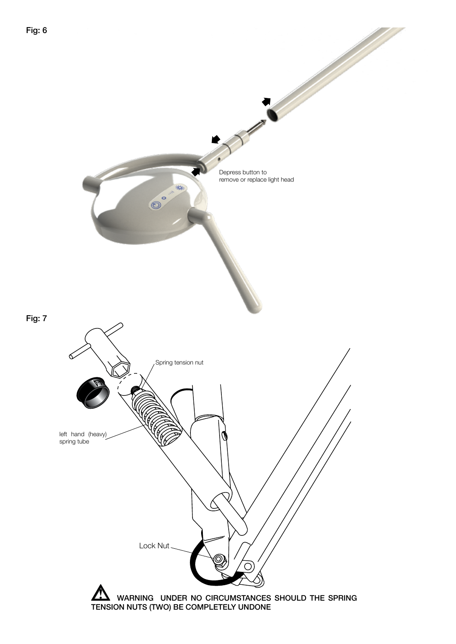